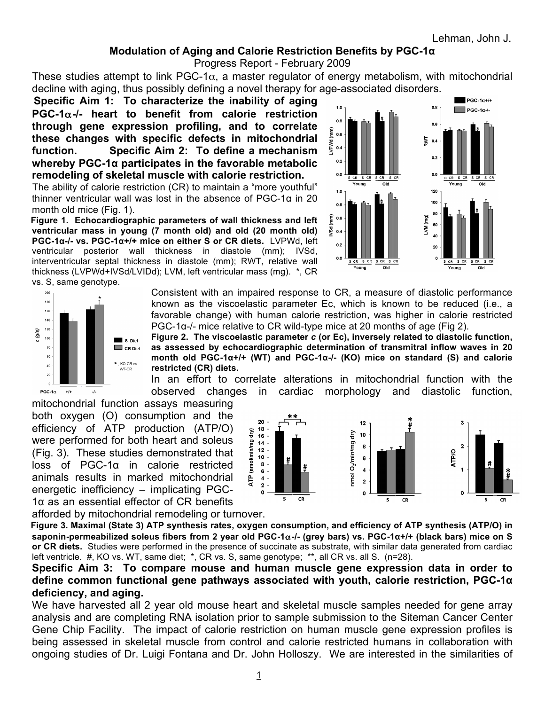## **Modulation of Aging and Calorie Restriction Benefits by PGC-1α**

Progress Report - February 2009

These studies attempt to link PGC-1 $\alpha$ , a master regulator of energy metabolism, with mitochondrial decline with aging, thus possibly defining a novel therapy for age-associated disorders.

 **Specific Aim 1: To characterize the inability of aging PGC-1**α**-/- heart to benefit from calorie restriction through gene expression profiling, and to correlate these changes with specific defects in mitochondrial function. Specific Aim 2: To define a mechanism whereby PGC-1α participates in the favorable metabolic remodeling of skeletal muscle with calorie restriction.** 

 The ability of calorie restriction (CR) to maintain a "more youthful" thinner ventricular wall was lost in the absence of PGC-1α in 20 month old mice (Fig. 1).

 **Figure 1. Echocardiographic parameters of wall thickness and left ventricular mass in young (7 month old) and old (20 month old) PGC-1α-/- vs. PGC-1α+/+ mice on either S or CR diets.** LVPWd, left ventricular posterior wall thickness in diastole (mm); IVSd, interventricular septal thickness in diastole (mm); RWT, relative wall thickness (LVPWd+IVSd/LVIDd); LVM, left ventricular mass (mg). \*, CR vs. S, same genotype.





Consistent with an impaired response to CR, a measure of diastolic performance known as the viscoelastic parameter Ec, which is known to be reduced (i.e., a favorable change) with human calorie restriction, was higher in calorie restricted PGC-1α-/- mice relative to CR wild-type mice at 20 months of age (Fig 2).

**Figure 2. The viscoelastic parameter** *c* **(or Ec), inversely related to diastolic function, as assessed by echocardiographic determination of transmitral inflow waves in 20 month old PGC-1α+/+ (WT) and PGC-1α-/- (KO) mice on standard (S) and calorie restricted (CR) diets.**

In an effort to correlate alterations in mitochondrial function with the observed changes in cardiac morphology and diastolic function,

mitochondrial function assays measuring both oxygen (O) consumption and the efficiency of ATP production (ATP/O) were performed for both heart and soleus (Fig. 3). These studies demonstrated that loss of PGC-1α in calorie restricted animals results in marked mitochondrial energetic inefficiency – implicating PGC-1α as an essential effector of CR benefits



afforded by mitochondrial remodeling or turnover. **Figure 3. Maximal (State 3) ATP synthesis rates, oxygen consumption, and efficiency of ATP synthesis (ATP/O) in saponin-permeabilized soleus fibers from 2 year old PGC-1**α**-/- (grey bars) vs. PGC-1α+/+ (black bars) mice on S or CR diets.** Studies were performed in the presence of succinate as substrate, with similar data generated from cardiac left ventricle. #, KO vs. WT, same diet; \*, CR vs. S, same genotype; \*\*, all CR vs. all S. (n=28).

**Specific Aim 3: To compare mouse and human muscle gene expression data in order to define common functional gene pathways associated with youth, calorie restriction, PGC-1α deficiency, and aging.** 

We have harvested all 2 year old mouse heart and skeletal muscle samples needed for gene array analysis and are completing RNA isolation prior to sample submission to the Siteman Cancer Center Gene Chip Facility. The impact of calorie restriction on human muscle gene expression profiles is being assessed in skeletal muscle from control and calorie restricted humans in collaboration with ongoing studies of Dr. Luigi Fontana and Dr. John Holloszy. We are interested in the similarities of